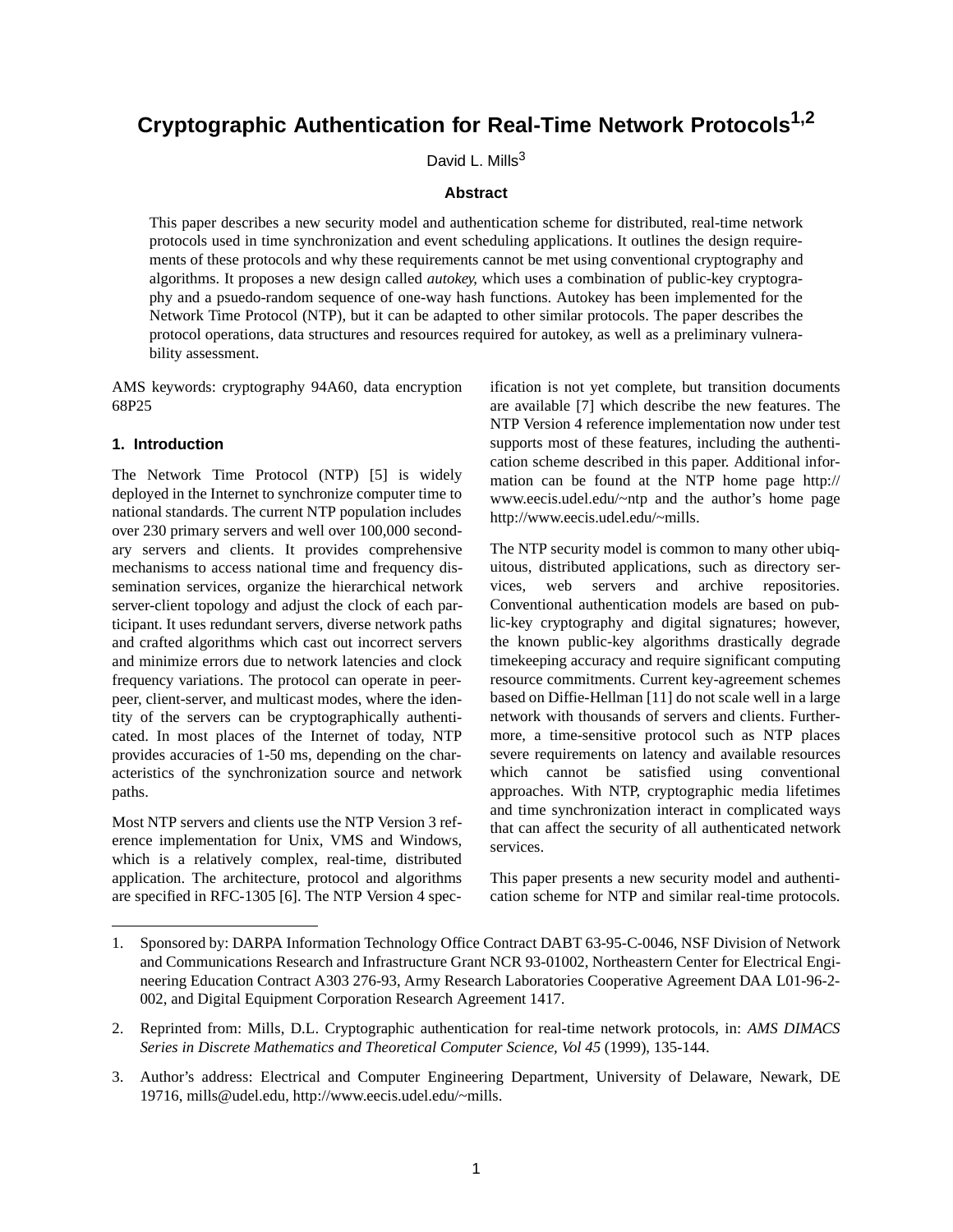# **Cryptographic Authentication for Real-Time Network Protocols1,2**

David L. Mills<sup>3</sup>

#### **Abstract**

This paper describes a new security model and authentication scheme for distributed, real-time network protocols used in time synchronization and event scheduling applications. It outlines the design requirements of these protocols and why these requirements cannot be met using conventional cryptography and algorithms. It proposes a new design called *autokey*, which uses a combination of public-key cryptography and a psuedo-random sequence of one-way hash functions. Autokey has been implemented for the Network Time Protocol (NTP), but it can be adapted to other similar protocols. The paper describes the protocol operations, data structures and resources required for autokey, as well as a preliminary vulnerability assessment.

AMS keywords: cryptography 94A60, data encryption 68P25

## **1. Introduction**

The Network Time Protocol (NTP) [5] is widely deployed in the Internet to synchronize computer time to national standards. The current NTP population includes over 230 primary servers and well over 100,000 secondary servers and clients. It provides comprehensive mechanisms to access national time and frequency dissemination services, organize the hierarchical network server-client topology and adjust the clock of each participant. It uses redundant servers, diverse network paths and crafted algorithms which cast out incorrect servers and minimize errors due to network latencies and clock frequency variations. The protocol can operate in peerpeer, client-server, and multicast modes, where the identity of the servers can be cryptographically authenticated. In most places of the Internet of today, NTP provides accuracies of 1-50 ms, depending on the characteristics of the synchronization source and network paths.

Most NTP servers and clients use the NTP Version 3 reference implementation for Unix, VMS and Windows, which is a relatively complex, real-time, distributed application. The architecture, protocol and algorithms are specified in RFC-1305 [6]. The NTP Version 4 specification is not yet complete, but transition documents are available [7] which describe the new features. The NTP Version 4 reference implementation now under test supports most of these features, including the authentication scheme described in this paper. Additional information can be found at the NTP home page http:// www.eecis.udel.edu/~ntp and the author's home page http://www.eecis.udel.edu/~mills.

The NTP security model is common to many other ubiquitous, distributed applications, such as directory services, web servers and archive repositories. Conventional authentication models are based on public-key cryptography and digital signatures; however, the known public-key algorithms drastically degrade timekeeping accuracy and require significant computing resource commitments. Current key-agreement schemes based on Diffie-Hellman [11] do not scale well in a large network with thousands of servers and clients. Furthermore, a time-sensitive protocol such as NTP places severe requirements on latency and available resources which cannot be satisfied using conventional approaches. With NTP, cryptographic media lifetimes and time synchronization interact in complicated ways that can affect the security of all authenticated network services.

This paper presents a new security model and authentication scheme for NTP and similar real-time protocols.

<sup>1.</sup> Sponsored by: DARPA Information Technology Office Contract DABT 63-95-C-0046, NSF Division of Network and Communications Research and Infrastructure Grant NCR 93-01002, Northeastern Center for Electrical Engineering Education Contract A303 276-93, Army Research Laboratories Cooperative Agreement DAA L01-96-2- 002, and Digital Equipment Corporation Research Agreement 1417.

<sup>2.</sup> Reprinted from: Mills, D.L. Cryptographic authentication for real-time network protocols, in: *AMS DIMACS Series in Discrete Mathematics and Theoretical Computer Science, Vol 45* (1999), 135-144.

<sup>3.</sup> Author's address: Electrical and Computer Engineering Department, University of Delaware, Newark, DE 19716, mills@udel.edu, http://www.eecis.udel.edu/~mills.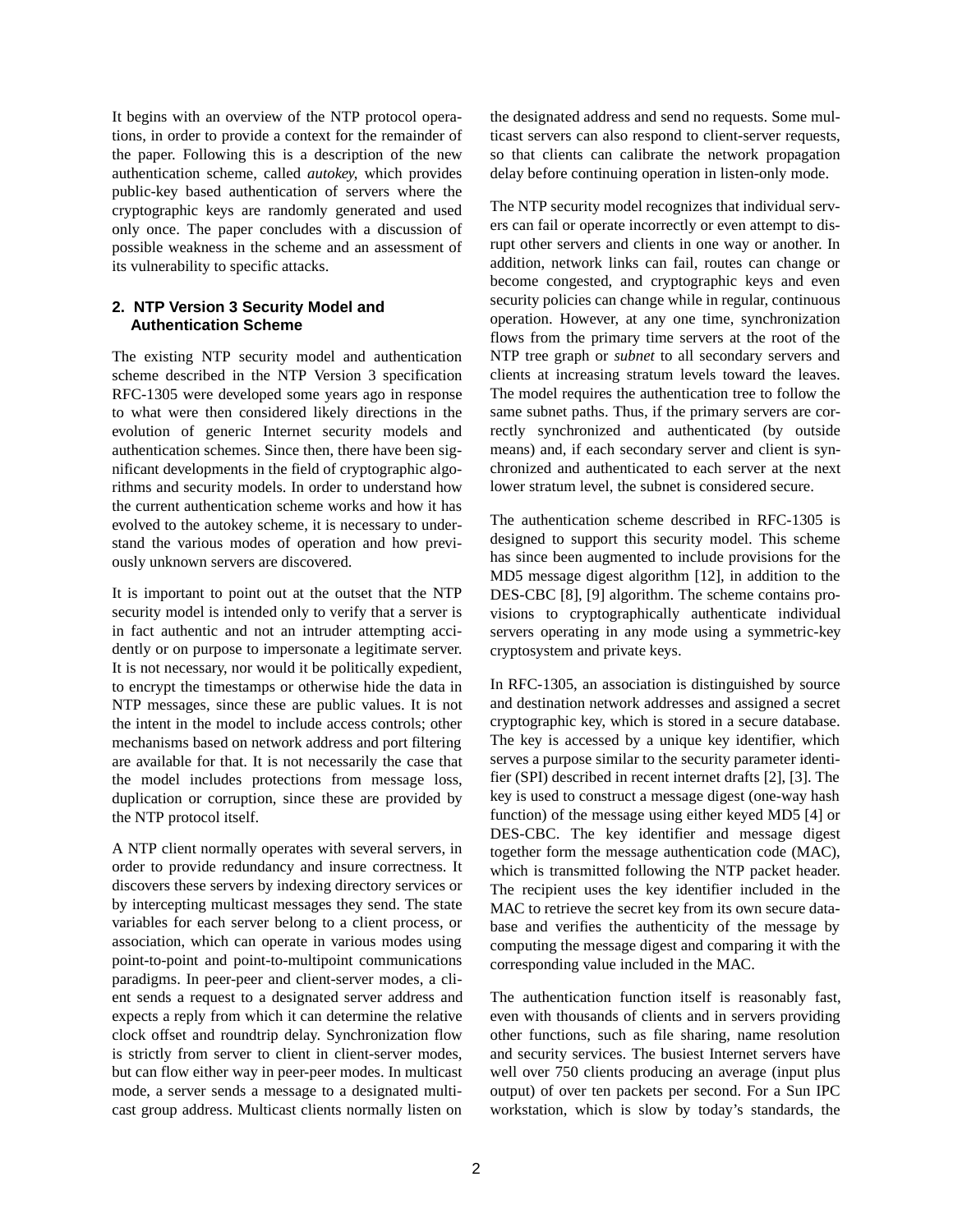It begins with an overview of the NTP protocol operations, in order to provide a context for the remainder of the paper. Following this is a description of the new authentication scheme, called *autokey*, which provides public-key based authentication of servers where the cryptographic keys are randomly generated and used only once. The paper concludes with a discussion of possible weakness in the scheme and an assessment of its vulnerability to specific attacks.

## **2. NTP Version 3 Security Model and Authentication Scheme**

The existing NTP security model and authentication scheme described in the NTP Version 3 specification RFC-1305 were developed some years ago in response to what were then considered likely directions in the evolution of generic Internet security models and authentication schemes. Since then, there have been significant developments in the field of cryptographic algorithms and security models. In order to understand how the current authentication scheme works and how it has evolved to the autokey scheme, it is necessary to understand the various modes of operation and how previously unknown servers are discovered.

It is important to point out at the outset that the NTP security model is intended only to verify that a server is in fact authentic and not an intruder attempting accidently or on purpose to impersonate a legitimate server. It is not necessary, nor would it be politically expedient, to encrypt the timestamps or otherwise hide the data in NTP messages, since these are public values. It is not the intent in the model to include access controls; other mechanisms based on network address and port filtering are available for that. It is not necessarily the case that the model includes protections from message loss, duplication or corruption, since these are provided by the NTP protocol itself.

A NTP client normally operates with several servers, in order to provide redundancy and insure correctness. It discovers these servers by indexing directory services or by intercepting multicast messages they send. The state variables for each server belong to a client process, or association, which can operate in various modes using point-to-point and point-to-multipoint communications paradigms. In peer-peer and client-server modes, a client sends a request to a designated server address and expects a reply from which it can determine the relative clock offset and roundtrip delay. Synchronization flow is strictly from server to client in client-server modes, but can flow either way in peer-peer modes. In multicast mode, a server sends a message to a designated multicast group address. Multicast clients normally listen on the designated address and send no requests. Some multicast servers can also respond to client-server requests, so that clients can calibrate the network propagation delay before continuing operation in listen-only mode.

The NTP security model recognizes that individual servers can fail or operate incorrectly or even attempt to disrupt other servers and clients in one way or another. In addition, network links can fail, routes can change or become congested, and cryptographic keys and even security policies can change while in regular, continuous operation. However, at any one time, synchronization flows from the primary time servers at the root of the NTP tree graph or *subnet* to all secondary servers and clients at increasing stratum levels toward the leaves. The model requires the authentication tree to follow the same subnet paths. Thus, if the primary servers are correctly synchronized and authenticated (by outside means) and, if each secondary server and client is synchronized and authenticated to each server at the next lower stratum level, the subnet is considered secure.

The authentication scheme described in RFC-1305 is designed to support this security model. This scheme has since been augmented to include provisions for the MD5 message digest algorithm [12], in addition to the DES-CBC [8], [9] algorithm. The scheme contains provisions to cryptographically authenticate individual servers operating in any mode using a symmetric-key cryptosystem and private keys.

In RFC-1305, an association is distinguished by source and destination network addresses and assigned a secret cryptographic key, which is stored in a secure database. The key is accessed by a unique key identifier, which serves a purpose similar to the security parameter identifier (SPI) described in recent internet drafts [2], [3]. The key is used to construct a message digest (one-way hash function) of the message using either keyed MD5 [4] or DES-CBC. The key identifier and message digest together form the message authentication code (MAC), which is transmitted following the NTP packet header. The recipient uses the key identifier included in the MAC to retrieve the secret key from its own secure database and verifies the authenticity of the message by computing the message digest and comparing it with the corresponding value included in the MAC.

The authentication function itself is reasonably fast, even with thousands of clients and in servers providing other functions, such as file sharing, name resolution and security services. The busiest Internet servers have well over 750 clients producing an average (input plus output) of over ten packets per second. For a Sun IPC workstation, which is slow by today's standards, the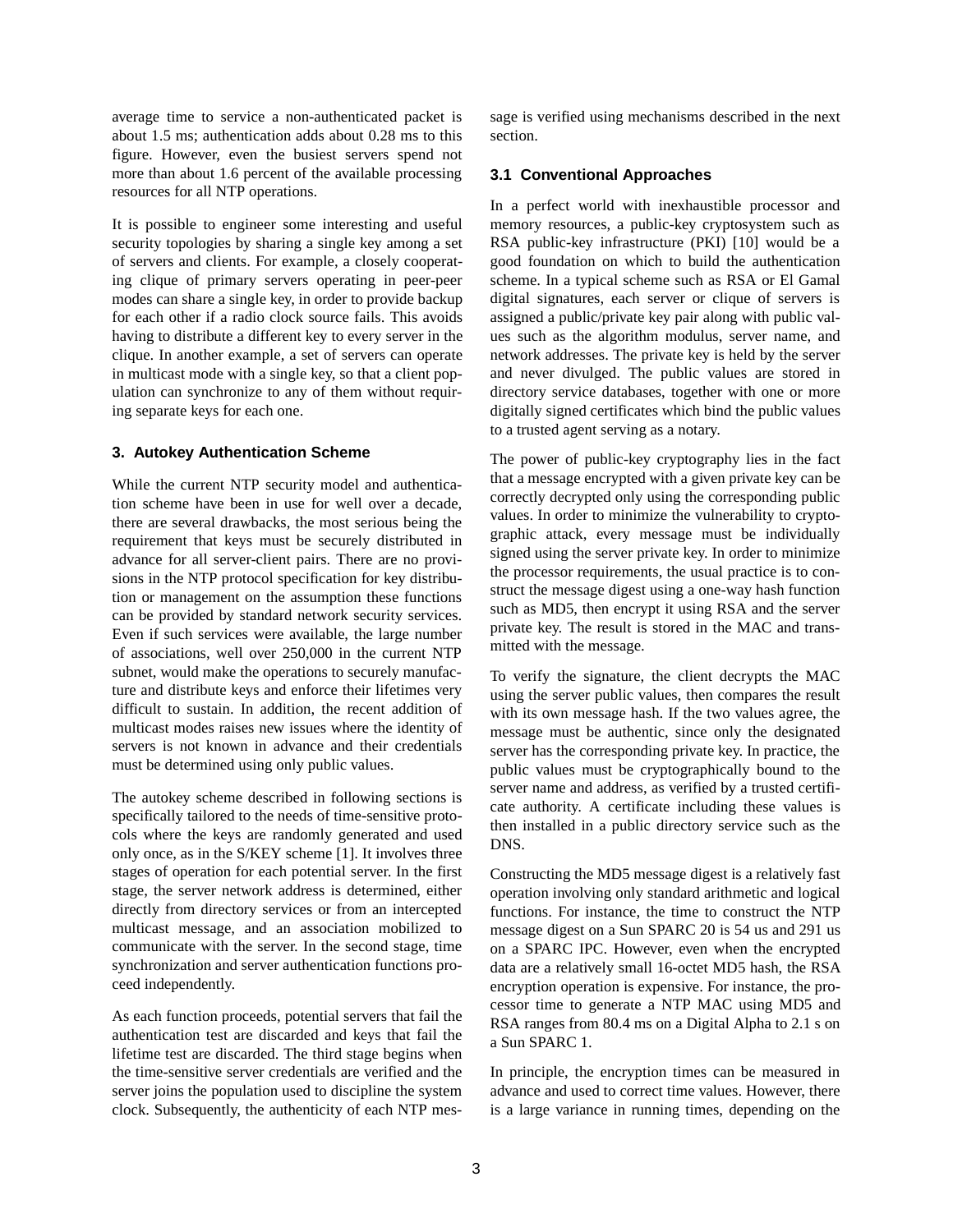average time to service a non-authenticated packet is about 1.5 ms; authentication adds about 0.28 ms to this figure. However, even the busiest servers spend not more than about 1.6 percent of the available processing resources for all NTP operations.

It is possible to engineer some interesting and useful security topologies by sharing a single key among a set of servers and clients. For example, a closely cooperating clique of primary servers operating in peer-peer modes can share a single key, in order to provide backup for each other if a radio clock source fails. This avoids having to distribute a different key to every server in the clique. In another example, a set of servers can operate in multicast mode with a single key, so that a client population can synchronize to any of them without requiring separate keys for each one.

#### **3. Autokey Authentication Scheme**

While the current NTP security model and authentication scheme have been in use for well over a decade, there are several drawbacks, the most serious being the requirement that keys must be securely distributed in advance for all server-client pairs. There are no provisions in the NTP protocol specification for key distribution or management on the assumption these functions can be provided by standard network security services. Even if such services were available, the large number of associations, well over 250,000 in the current NTP subnet, would make the operations to securely manufacture and distribute keys and enforce their lifetimes very difficult to sustain. In addition, the recent addition of multicast modes raises new issues where the identity of servers is not known in advance and their credentials must be determined using only public values.

The autokey scheme described in following sections is specifically tailored to the needs of time-sensitive protocols where the keys are randomly generated and used only once, as in the S/KEY scheme [1]. It involves three stages of operation for each potential server. In the first stage, the server network address is determined, either directly from directory services or from an intercepted multicast message, and an association mobilized to communicate with the server. In the second stage, time synchronization and server authentication functions proceed independently.

As each function proceeds, potential servers that fail the authentication test are discarded and keys that fail the lifetime test are discarded. The third stage begins when the time-sensitive server credentials are verified and the server joins the population used to discipline the system clock. Subsequently, the authenticity of each NTP message is verified using mechanisms described in the next section.

#### **3.1 Conventional Approaches**

In a perfect world with inexhaustible processor and memory resources, a public-key cryptosystem such as RSA public-key infrastructure (PKI) [10] would be a good foundation on which to build the authentication scheme. In a typical scheme such as RSA or El Gamal digital signatures, each server or clique of servers is assigned a public/private key pair along with public values such as the algorithm modulus, server name, and network addresses. The private key is held by the server and never divulged. The public values are stored in directory service databases, together with one or more digitally signed certificates which bind the public values to a trusted agent serving as a notary.

The power of public-key cryptography lies in the fact that a message encrypted with a given private key can be correctly decrypted only using the corresponding public values. In order to minimize the vulnerability to cryptographic attack, every message must be individually signed using the server private key. In order to minimize the processor requirements, the usual practice is to construct the message digest using a one-way hash function such as MD5, then encrypt it using RSA and the server private key. The result is stored in the MAC and transmitted with the message.

To verify the signature, the client decrypts the MAC using the server public values, then compares the result with its own message hash. If the two values agree, the message must be authentic, since only the designated server has the corresponding private key. In practice, the public values must be cryptographically bound to the server name and address, as verified by a trusted certificate authority. A certificate including these values is then installed in a public directory service such as the DNS.

Constructing the MD5 message digest is a relatively fast operation involving only standard arithmetic and logical functions. For instance, the time to construct the NTP message digest on a Sun SPARC 20 is 54 us and 291 us on a SPARC IPC. However, even when the encrypted data are a relatively small 16-octet MD5 hash, the RSA encryption operation is expensive. For instance, the processor time to generate a NTP MAC using MD5 and RSA ranges from 80.4 ms on a Digital Alpha to 2.1 s on a Sun SPARC 1.

In principle, the encryption times can be measured in advance and used to correct time values. However, there is a large variance in running times, depending on the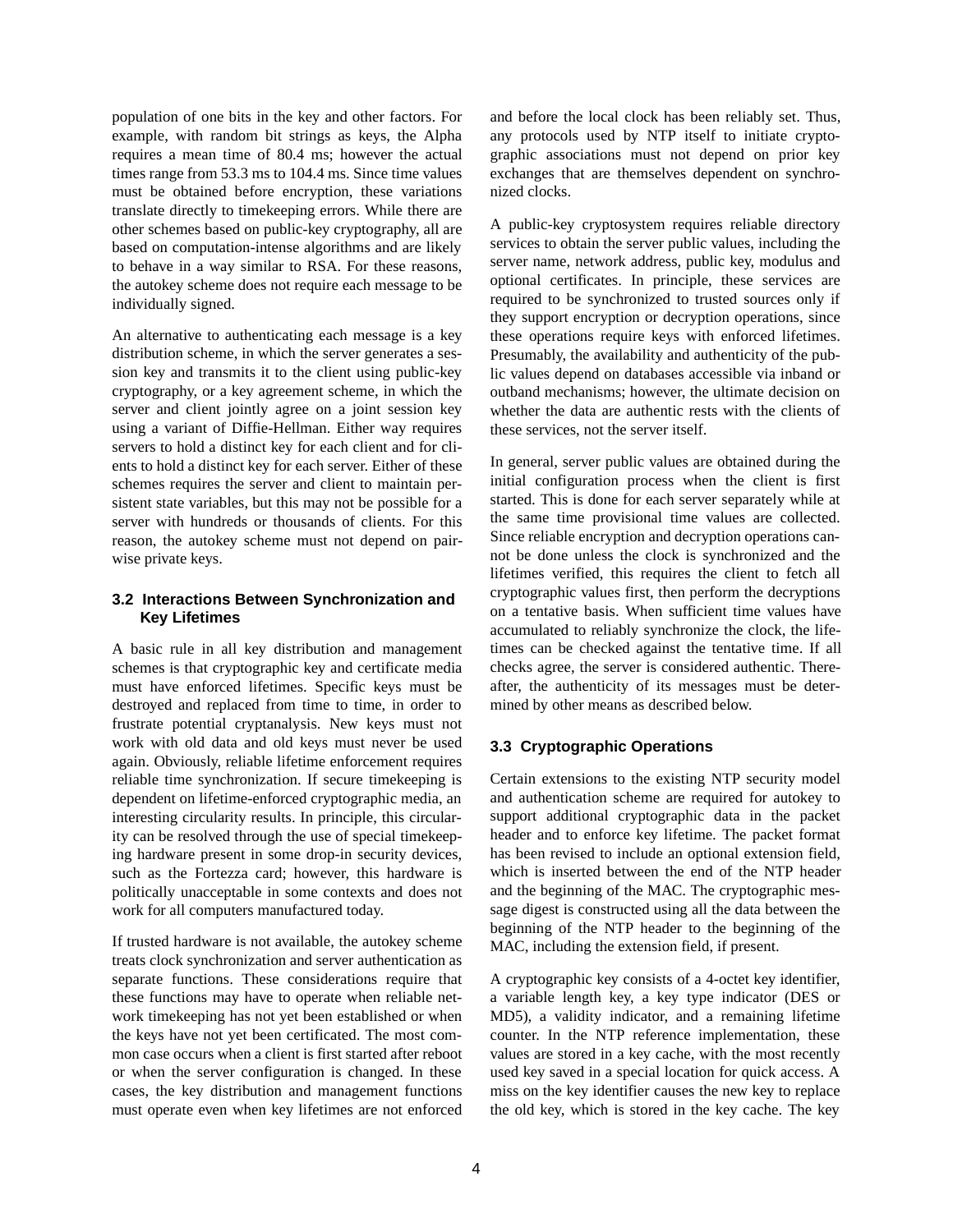population of one bits in the key and other factors. For example, with random bit strings as keys, the Alpha requires a mean time of 80.4 ms; however the actual times range from 53.3 ms to 104.4 ms. Since time values must be obtained before encryption, these variations translate directly to timekeeping errors. While there are other schemes based on public-key cryptography, all are based on computation-intense algorithms and are likely to behave in a way similar to RSA. For these reasons, the autokey scheme does not require each message to be individually signed.

An alternative to authenticating each message is a key distribution scheme, in which the server generates a session key and transmits it to the client using public-key cryptography, or a key agreement scheme, in which the server and client jointly agree on a joint session key using a variant of Diffie-Hellman. Either way requires servers to hold a distinct key for each client and for clients to hold a distinct key for each server. Either of these schemes requires the server and client to maintain persistent state variables, but this may not be possible for a server with hundreds or thousands of clients. For this reason, the autokey scheme must not depend on pairwise private keys.

## **3.2 Interactions Between Synchronization and Key Lifetimes**

A basic rule in all key distribution and management schemes is that cryptographic key and certificate media must have enforced lifetimes. Specific keys must be destroyed and replaced from time to time, in order to frustrate potential cryptanalysis. New keys must not work with old data and old keys must never be used again. Obviously, reliable lifetime enforcement requires reliable time synchronization. If secure timekeeping is dependent on lifetime-enforced cryptographic media, an interesting circularity results. In principle, this circularity can be resolved through the use of special timekeeping hardware present in some drop-in security devices, such as the Fortezza card; however, this hardware is politically unacceptable in some contexts and does not work for all computers manufactured today.

If trusted hardware is not available, the autokey scheme treats clock synchronization and server authentication as separate functions. These considerations require that these functions may have to operate when reliable network timekeeping has not yet been established or when the keys have not yet been certificated. The most common case occurs when a client is first started after reboot or when the server configuration is changed. In these cases, the key distribution and management functions must operate even when key lifetimes are not enforced and before the local clock has been reliably set. Thus, any protocols used by NTP itself to initiate cryptographic associations must not depend on prior key exchanges that are themselves dependent on synchronized clocks.

A public-key cryptosystem requires reliable directory services to obtain the server public values, including the server name, network address, public key, modulus and optional certificates. In principle, these services are required to be synchronized to trusted sources only if they support encryption or decryption operations, since these operations require keys with enforced lifetimes. Presumably, the availability and authenticity of the public values depend on databases accessible via inband or outband mechanisms; however, the ultimate decision on whether the data are authentic rests with the clients of these services, not the server itself.

In general, server public values are obtained during the initial configuration process when the client is first started. This is done for each server separately while at the same time provisional time values are collected. Since reliable encryption and decryption operations cannot be done unless the clock is synchronized and the lifetimes verified, this requires the client to fetch all cryptographic values first, then perform the decryptions on a tentative basis. When sufficient time values have accumulated to reliably synchronize the clock, the lifetimes can be checked against the tentative time. If all checks agree, the server is considered authentic. Thereafter, the authenticity of its messages must be determined by other means as described below.

## **3.3 Cryptographic Operations**

Certain extensions to the existing NTP security model and authentication scheme are required for autokey to support additional cryptographic data in the packet header and to enforce key lifetime. The packet format has been revised to include an optional extension field, which is inserted between the end of the NTP header and the beginning of the MAC. The cryptographic message digest is constructed using all the data between the beginning of the NTP header to the beginning of the MAC, including the extension field, if present.

A cryptographic key consists of a 4-octet key identifier, a variable length key, a key type indicator (DES or MD5), a validity indicator, and a remaining lifetime counter. In the NTP reference implementation, these values are stored in a key cache, with the most recently used key saved in a special location for quick access. A miss on the key identifier causes the new key to replace the old key, which is stored in the key cache. The key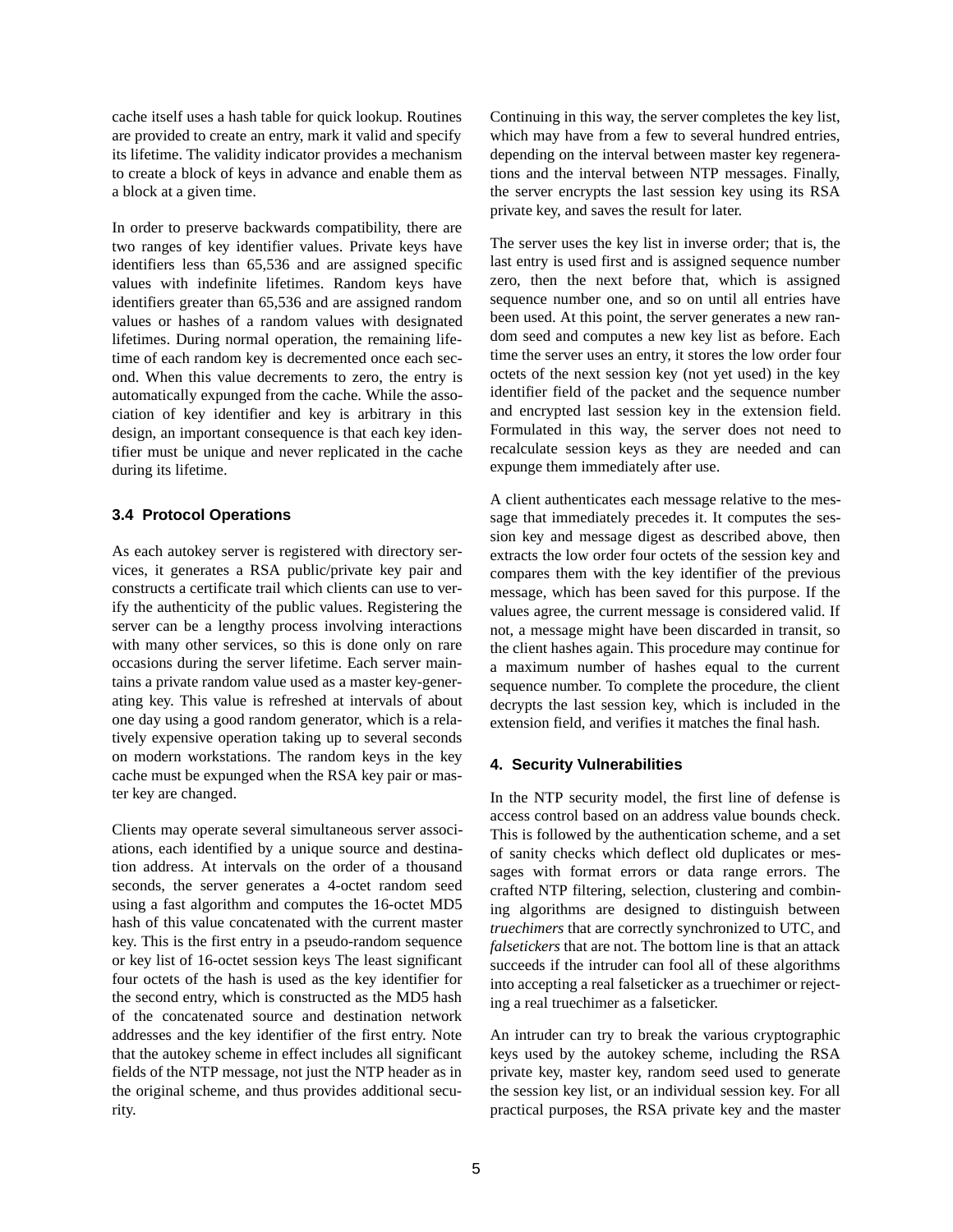cache itself uses a hash table for quick lookup. Routines are provided to create an entry, mark it valid and specify its lifetime. The validity indicator provides a mechanism to create a block of keys in advance and enable them as a block at a given time.

In order to preserve backwards compatibility, there are two ranges of key identifier values. Private keys have identifiers less than 65,536 and are assigned specific values with indefinite lifetimes. Random keys have identifiers greater than 65,536 and are assigned random values or hashes of a random values with designated lifetimes. During normal operation, the remaining lifetime of each random key is decremented once each second. When this value decrements to zero, the entry is automatically expunged from the cache. While the association of key identifier and key is arbitrary in this design, an important consequence is that each key identifier must be unique and never replicated in the cache during its lifetime.

## **3.4 Protocol Operations**

As each autokey server is registered with directory services, it generates a RSA public/private key pair and constructs a certificate trail which clients can use to verify the authenticity of the public values. Registering the server can be a lengthy process involving interactions with many other services, so this is done only on rare occasions during the server lifetime. Each server maintains a private random value used as a master key-generating key. This value is refreshed at intervals of about one day using a good random generator, which is a relatively expensive operation taking up to several seconds on modern workstations. The random keys in the key cache must be expunged when the RSA key pair or master key are changed.

Clients may operate several simultaneous server associations, each identified by a unique source and destination address. At intervals on the order of a thousand seconds, the server generates a 4-octet random seed using a fast algorithm and computes the 16-octet MD5 hash of this value concatenated with the current master key. This is the first entry in a pseudo-random sequence or key list of 16-octet session keys The least significant four octets of the hash is used as the key identifier for the second entry, which is constructed as the MD5 hash of the concatenated source and destination network addresses and the key identifier of the first entry. Note that the autokey scheme in effect includes all significant fields of the NTP message, not just the NTP header as in the original scheme, and thus provides additional security.

Continuing in this way, the server completes the key list, which may have from a few to several hundred entries, depending on the interval between master key regenerations and the interval between NTP messages. Finally, the server encrypts the last session key using its RSA private key, and saves the result for later.

The server uses the key list in inverse order; that is, the last entry is used first and is assigned sequence number zero, then the next before that, which is assigned sequence number one, and so on until all entries have been used. At this point, the server generates a new random seed and computes a new key list as before. Each time the server uses an entry, it stores the low order four octets of the next session key (not yet used) in the key identifier field of the packet and the sequence number and encrypted last session key in the extension field. Formulated in this way, the server does not need to recalculate session keys as they are needed and can expunge them immediately after use.

A client authenticates each message relative to the message that immediately precedes it. It computes the session key and message digest as described above, then extracts the low order four octets of the session key and compares them with the key identifier of the previous message, which has been saved for this purpose. If the values agree, the current message is considered valid. If not, a message might have been discarded in transit, so the client hashes again. This procedure may continue for a maximum number of hashes equal to the current sequence number. To complete the procedure, the client decrypts the last session key, which is included in the extension field, and verifies it matches the final hash.

## **4. Security Vulnerabilities**

In the NTP security model, the first line of defense is access control based on an address value bounds check. This is followed by the authentication scheme, and a set of sanity checks which deflect old duplicates or messages with format errors or data range errors. The crafted NTP filtering, selection, clustering and combining algorithms are designed to distinguish between *truechimers* that are correctly synchronized to UTC, and *falsetickers* that are not. The bottom line is that an attack succeeds if the intruder can fool all of these algorithms into accepting a real falseticker as a truechimer or rejecting a real truechimer as a falseticker.

An intruder can try to break the various cryptographic keys used by the autokey scheme, including the RSA private key, master key, random seed used to generate the session key list, or an individual session key. For all practical purposes, the RSA private key and the master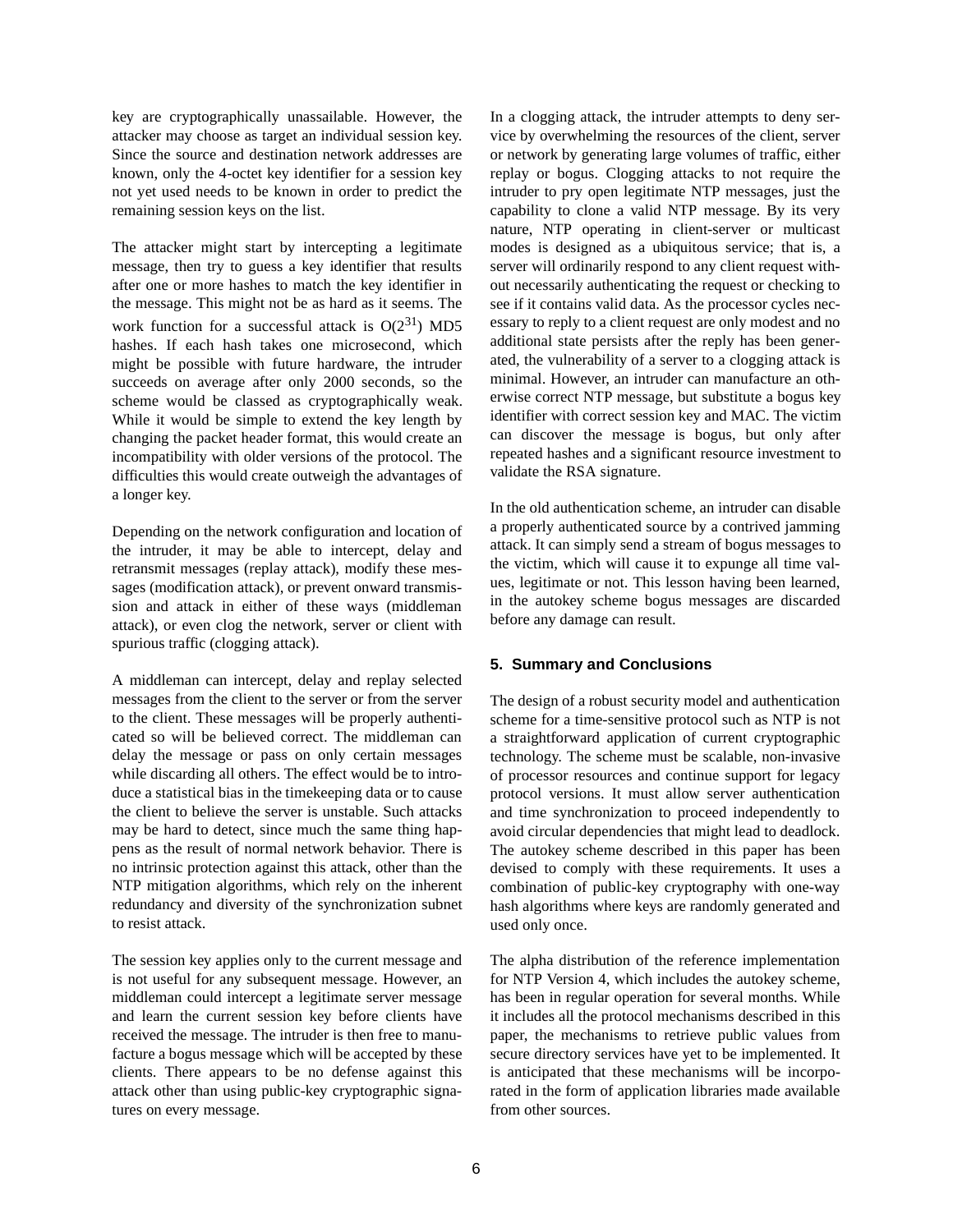key are cryptographically unassailable. However, the attacker may choose as target an individual session key. Since the source and destination network addresses are known, only the 4-octet key identifier for a session key not yet used needs to be known in order to predict the remaining session keys on the list.

The attacker might start by intercepting a legitimate message, then try to guess a key identifier that results after one or more hashes to match the key identifier in the message. This might not be as hard as it seems. The work function for a successful attack is  $O(2^{31})$  MD5 hashes. If each hash takes one microsecond, which might be possible with future hardware, the intruder succeeds on average after only 2000 seconds, so the scheme would be classed as cryptographically weak. While it would be simple to extend the key length by changing the packet header format, this would create an incompatibility with older versions of the protocol. The difficulties this would create outweigh the advantages of a longer key.

Depending on the network configuration and location of the intruder, it may be able to intercept, delay and retransmit messages (replay attack), modify these messages (modification attack), or prevent onward transmission and attack in either of these ways (middleman attack), or even clog the network, server or client with spurious traffic (clogging attack).

A middleman can intercept, delay and replay selected messages from the client to the server or from the server to the client. These messages will be properly authenticated so will be believed correct. The middleman can delay the message or pass on only certain messages while discarding all others. The effect would be to introduce a statistical bias in the timekeeping data or to cause the client to believe the server is unstable. Such attacks may be hard to detect, since much the same thing happens as the result of normal network behavior. There is no intrinsic protection against this attack, other than the NTP mitigation algorithms, which rely on the inherent redundancy and diversity of the synchronization subnet to resist attack.

The session key applies only to the current message and is not useful for any subsequent message. However, an middleman could intercept a legitimate server message and learn the current session key before clients have received the message. The intruder is then free to manufacture a bogus message which will be accepted by these clients. There appears to be no defense against this attack other than using public-key cryptographic signatures on every message.

In a clogging attack, the intruder attempts to deny service by overwhelming the resources of the client, server or network by generating large volumes of traffic, either replay or bogus. Clogging attacks to not require the intruder to pry open legitimate NTP messages, just the capability to clone a valid NTP message. By its very nature, NTP operating in client-server or multicast modes is designed as a ubiquitous service; that is, a server will ordinarily respond to any client request without necessarily authenticating the request or checking to see if it contains valid data. As the processor cycles necessary to reply to a client request are only modest and no additional state persists after the reply has been generated, the vulnerability of a server to a clogging attack is minimal. However, an intruder can manufacture an otherwise correct NTP message, but substitute a bogus key identifier with correct session key and MAC. The victim can discover the message is bogus, but only after repeated hashes and a significant resource investment to validate the RSA signature.

In the old authentication scheme, an intruder can disable a properly authenticated source by a contrived jamming attack. It can simply send a stream of bogus messages to the victim, which will cause it to expunge all time values, legitimate or not. This lesson having been learned, in the autokey scheme bogus messages are discarded before any damage can result.

## **5. Summary and Conclusions**

The design of a robust security model and authentication scheme for a time-sensitive protocol such as NTP is not a straightforward application of current cryptographic technology. The scheme must be scalable, non-invasive of processor resources and continue support for legacy protocol versions. It must allow server authentication and time synchronization to proceed independently to avoid circular dependencies that might lead to deadlock. The autokey scheme described in this paper has been devised to comply with these requirements. It uses a combination of public-key cryptography with one-way hash algorithms where keys are randomly generated and used only once.

The alpha distribution of the reference implementation for NTP Version 4, which includes the autokey scheme, has been in regular operation for several months. While it includes all the protocol mechanisms described in this paper, the mechanisms to retrieve public values from secure directory services have yet to be implemented. It is anticipated that these mechanisms will be incorporated in the form of application libraries made available from other sources.